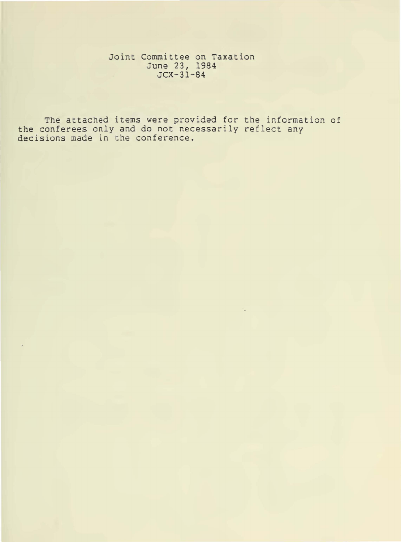Joint Committee on Taxation June 23, 1984 JCX-31-84

The attached items were provided for the information of the conferees only and do not necessarily reflect any decisions made in the conference.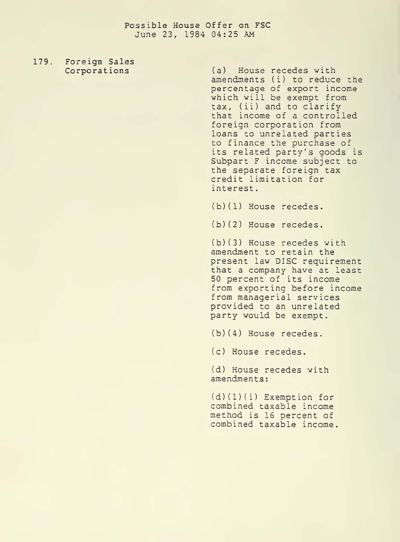## **possible House Offer on FSC**  June 23, 1984 04:25 AM

## **179. Foreign Sales**

**Corporations** (a) House recedes with amendments (i) to reduce the percentage of export income which will be exempt from tax, (ii) and to clarify that income of a controlled foreign corporation from loans to unrelated parties to finance the purchase of its related party's goods is Subpart F income subject to the separate foreign tax credit limitation for interest.

(b)(l) House recedes.

(b)(2) House recedes.

(b)(3) House recedes with amendment to retain the present law DISC requirement that a company have at least 50 percent of its income from exporting before income from managerial services provided to an unrelated party would be exempt.

(b)(4) House recedes.

(c) House recedes.

(d) House recedes with amendments:

(d)(l)(i) Exemption for combined taxable income method is 16 oercent of combined taxable income.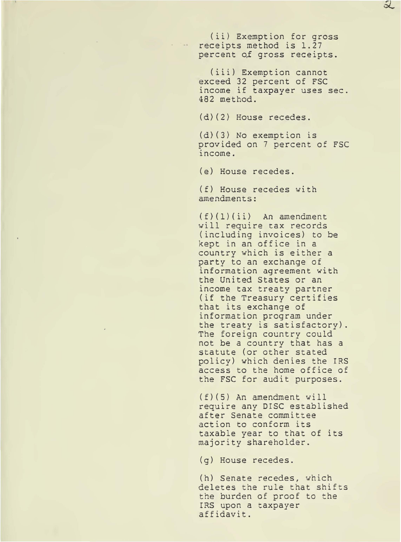(ii) Exemption for gross receipts method is 1.27 percent of gross receipts.

 $\mathcal{Z}% _{M_{1},M_{2}}^{\alpha,\beta}(\varepsilon)$ 

(iii) Exemption cannot exceed 32 percent of FSC income if taxpayer uses sec. 482 method.

(d)(2) House recedes.

(d)(3) No exemption is provided on 7 percent of FSC income.

(e) House recedes.

(f) House recedes with amendments:

(f)(l)(ii) An amendment will require tax records (including invoices) to be kept in an office in a country which is either a party to an exchange of information agreement with the United States or an income tax treaty partner (if the Treasury certifies that its exchange of information program under the treaty is satisfactory). The foreign country could not be a country that has a statute (or other stated policy) which denies the IRS access to the home office of the FSC for audit purposes.

(f)(5) An amendment will require any DISC established after Senate committee action to conform its taxable year to that of its majority shareholder.

(g) House recedes.

(h) Senate recedes, which deletes the rule that shifts the burden of proof to the IRS upon a taxpayer affidavit.